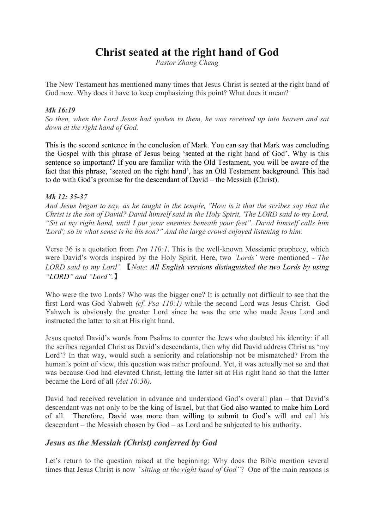# **Christ seated at the right hand of God**

*Pastor Zhang Cheng*

The New Testament has mentioned many times that Jesus Christ is seated at the right hand of God now. Why does it have to keep emphasizing this point? What does it mean?

#### *Mk 16:19*

*So then, when the Lord Jesus had spoken to them, he was received up into heaven and sat down at the right hand of God.* 

This is the second sentence in the conclusion of Mark. You can say that Mark was concluding the Gospel with this phrase of Jesus being 'seated at the right hand of God'. Why is this sentence so important? If you are familiar with the Old Testament, you will be aware of the fact that this phrase, 'seated on the right hand', has an Old Testament background. This had to do with God's promise for the descendant of David – the Messiah (Christ).

#### *Mk 12: 35-37*

*And Jesus began to say, as he taught in the temple, "How is it that the scribes say that the Christ is the son of David? David himself said in the Holy Spirit, 'The LORD said to my Lord, "Sit at my right hand, until I put your enemies beneath your feet". David himself calls him 'Lord'; so in what sense is he his son?" And the large crowd enjoyed listening to him.* 

Verse 36 is a quotation from *Psa 110:1*. This is the well-known Messianic prophecy, which were David's words inspired by the Holy Spirit. Here, two *'Lords'* were mentioned - *The LORD said to my Lord'.* 【*Note*: *All English versions distinguished the two Lords by using "LORD" and "Lord".*】

Who were the two Lords? Who was the bigger one? It is actually not difficult to see that the first Lord was God Yahweh *(cf. Psa 110:1)* while the second Lord was Jesus Christ. God Yahweh is obviously the greater Lord since he was the one who made Jesus Lord and instructed the latter to sit at His right hand.

Jesus quoted David's words from Psalms to counter the Jews who doubted his identity: if all the scribes regarded Christ as David's descendants, then why did David address Christ as 'my Lord'? In that way, would such a seniority and relationship not be mismatched? From the human's point of view, this question was rather profound. Yet, it was actually not so and that was because God had elevated Christ, letting the latter sit at His right hand so that the latter became the Lord of all *(Act 10:36).*

David had received revelation in advance and understood God's overall plan – that David's descendant was not only to be the king of Israel, but that God also wanted to make him Lord of all. Therefore, David was more than willing to submit to God's will and call his descendant – the Messiah chosen by God – as Lord and be subjected to his authority.

# *Jesus as the Messiah (Christ) conferred by God*

Let's return to the question raised at the beginning: Why does the Bible mention several times that Jesus Christ is now *"sitting at the right hand of God"*? One of the main reasons is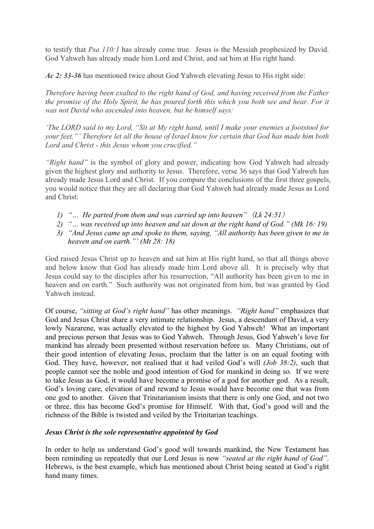to testify that *Psa 110:1* has already come true. Jesus is the Messiah prophesized by David. God Yahweh has already made him Lord and Christ, and sat him at His right hand.

*Ac 2: 33-36* has mentioned twice about God Yahweh elevating Jesus to His right side:

*Therefore having been exalted to the right hand of God, and having received from the Father the promise of the Holy Spirit, he has poured forth this which you both see and hear. For it was not David who ascended into heaven, but he himself says:*

*'The LORD said to my Lord, "Sit at My right hand, until I make your enemies a footstool for your feet."' Therefore let all the house of Israel know for certain that God has made him both Lord and Christ - this Jesus whom you crucified."*

*"Right hand"* is the symbol of glory and power, indicating how God Yahweh had already given the highest glory and authority to Jesus. Therefore, verse 36 says that God Yahweh has already made Jesus Lord and Christ. If you compare the conclusions of the first three gospels, you would notice that they are all declaring that God Yahweh had already made Jesus as Lord and Christ:

- *1) "… He parted from them and was carried up into heaven"*(*Lk 24:51*)
- *2) "… was received up into heaven and sat down at the right hand of God." (Mk 16: 19)*
- *3) "And Jesus came up and spoke to them, saying, "All authority has been given to me in heaven and on earth."' (Mt 28: 18)*

God raised Jesus Christ up to heaven and sat him at His right hand, so that all things above and below know that God has already made him Lord above all. It is precisely why that Jesus could say to the disciples after his resurrection, "All authority has been given to me in heaven and on earth." Such authority was not originated from him, but was granted by God Yahweh instead.

Of course, *"sitting at God's right hand"* has other meanings. *"Right hand"* emphasizes that God and Jesus Christ share a very intimate relationship. Jesus, a descendant of David, a very lowly Nazarene, was actually elevated to the highest by God Yahweh! What an important and precious person that Jesus was to God Yahweh. Through Jesus, God Yahweh's love for mankind has already been presented without reservation before us. Many Christians, out of their good intention of elevating Jesus, proclaim that the latter is on an equal footing with God. They have, however, not realised that it had veiled God's will *(Job 38:2)*, such that people cannot see the noble and good intention of God for mankind in doing so. If we were to take Jesus as God, it would have become a promise of a god for another god. As a result, God's loving care, elevation of and reward to Jesus would have become one that was from one god to another. Given that Trinitarianism insists that there is only one God, and not two or three, this has become God's promise for Himself. With that, God's good will and the richness of the Bible is twisted and veiled by the Trinitarian teachings.

#### *Jesus Christ is the sole representative appointed by God*

In order to help us understand God's good will towards mankind, the New Testament has been reminding us repeatedly that our Lord Jesus is now *"seated at the right hand of God"*. Hebrews, is the best example, which has mentioned about Christ being seated at God's right hand many times.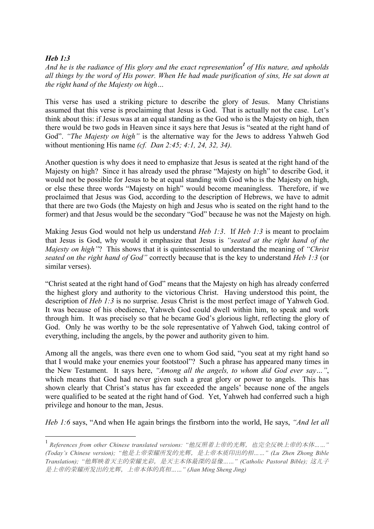#### *Heb 1:3*

*And he is the radiance of His glory and the exact representation<sup>1</sup> of His nature, and upholds all things by the word of His power. When He had made purification of sins, He sat down at the right hand of the Majesty on high…*

This verse has used a striking picture to describe the glory of Jesus. Many Christians assumed that this verse is proclaiming that Jesus is God. That is actually not the case. Let's think about this: if Jesus was at an equal standing as the God who is the Majesty on high, then there would be two gods in Heaven since it says here that Jesus is "seated at the right hand of God". *"The Majesty on high"* is the alternative way for the Jews to address Yahweh God without mentioning His name *(cf. Dan 2:45; 4:1, 24, 32, 34).*

Another question is why does it need to emphasize that Jesus is seated at the right hand of the Majesty on high? Since it has already used the phrase "Majesty on high" to describe God, it would not be possible for Jesus to be at equal standing with God who is the Majesty on high, or else these three words "Majesty on high" would become meaningless. Therefore, if we proclaimed that Jesus was God, according to the description of Hebrews, we have to admit that there are two Gods (the Majesty on high and Jesus who is seated on the right hand to the former) and that Jesus would be the secondary "God" because he was not the Majesty on high.

Making Jesus God would not help us understand *Heb 1:3*. If *Heb 1:3* is meant to proclaim that Jesus is God, why would it emphasize that Jesus is *"seated at the right hand of the Majesty on high"*? This shows that it is quintessential to understand the meaning of *"Christ seated on the right hand of God"* correctly because that is the key to understand *Heb 1:3* (or similar verses).

"Christ seated at the right hand of God" means that the Majesty on high has already conferred the highest glory and authority to the victorious Christ. Having understood this point, the description of *Heb 1:3* is no surprise. Jesus Christ is the most perfect image of Yahweh God. It was because of his obedience, Yahweh God could dwell within him, to speak and work through him. It was precisely so that he became God's glorious light, reflecting the glory of God. Only he was worthy to be the sole representative of Yahweh God, taking control of everything, including the angels, by the power and authority given to him.

Among all the angels, was there even one to whom God said, "you seat at my right hand so that I would make your enemies your footstool"? Such a phrase has appeared many times in the New Testament. It says here, *"Among all the angels, to whom did God ever say…"*, which means that God had never given such a great glory or power to angels. This has shown clearly that Christ's status has far exceeded the angels' because none of the angels were qualified to be seated at the right hand of God. Yet, Yahweh had conferred such a high privilege and honour to the man, Jesus.

*Heb 1:6* says, "And when He again brings the firstborn into the world, He says, *"And let all*

 <sup>1</sup> *References from other Chinese translated versions: "*他反照着上帝的光辉,也完全反映上帝的本体*……" (Today's Chinese version); "*他是上帝荣耀所发的光辉,是上帝本质印出的相*……" (Lu Zhen Zhong Bible Translation); "*他辉映着天主的荣耀光彩,是天主本体最深的显像*……" (Catholic Pastoral Bible);* 这儿子 是上帝的荣耀所发出的光辉,上帝本体的真相*……" (Jian Ming Sheng Jing)*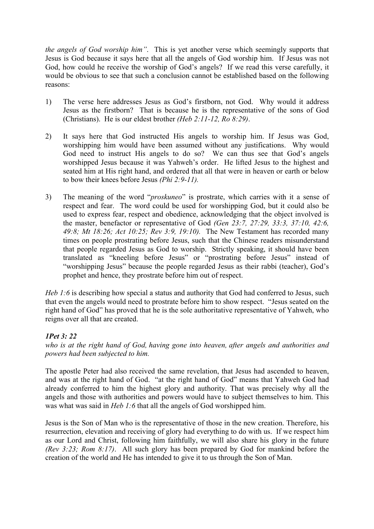*the angels of God worship him"*. This is yet another verse which seemingly supports that Jesus is God because it says here that all the angels of God worship him. If Jesus was not God, how could he receive the worship of God's angels? If we read this verse carefully, it would be obvious to see that such a conclusion cannot be established based on the following reasons:

- 1) The verse here addresses Jesus as God's firstborn, not God. Why would it address Jesus as the firstborn? That is because he is the representative of the sons of God (Christians). He is our eldest brother *(Heb 2:11-12, Ro 8:29)*.
- 2) It says here that God instructed His angels to worship him. If Jesus was God, worshipping him would have been assumed without any justifications. Why would God need to instruct His angels to do so? We can thus see that God's angels worshipped Jesus because it was Yahweh's order. He lifted Jesus to the highest and seated him at His right hand, and ordered that all that were in heaven or earth or below to bow their knees before Jesus *(Phi 2:9-11).*
- 3) The meaning of the word "*proskuneo*" is prostrate, which carries with it a sense of respect and fear. The word could be used for worshipping God, but it could also be used to express fear, respect and obedience, acknowledging that the object involved is the master, benefactor or representative of God *(Gen 23:7, 27:29, 33:3, 37:10, 42:6, 49:8; Mt 18:26; Act 10:25; Rev 3:9, 19:10).* The New Testament has recorded many times on people prostrating before Jesus, such that the Chinese readers misunderstand that people regarded Jesus as God to worship. Strictly speaking, it should have been translated as "kneeling before Jesus" or "prostrating before Jesus" instead of "worshipping Jesus" because the people regarded Jesus as their rabbi (teacher), God's prophet and hence, they prostrate before him out of respect.

*Heb 1:6* is describing how special a status and authority that God had conferred to Jesus, such that even the angels would need to prostrate before him to show respect. "Jesus seated on the right hand of God" has proved that he is the sole authoritative representative of Yahweh, who reigns over all that are created.

# *1Pet 3: 22*

*who is at the right hand of God, having gone into heaven, after angels and authorities and powers had been subjected to him.*

The apostle Peter had also received the same revelation, that Jesus had ascended to heaven, and was at the right hand of God. "at the right hand of God" means that Yahweh God had already conferred to him the highest glory and authority. That was precisely why all the angels and those with authorities and powers would have to subject themselves to him. This was what was said in *Heb 1:6* that all the angels of God worshipped him.

Jesus is the Son of Man who is the representative of those in the new creation. Therefore, his resurrection, elevation and receiving of glory had everything to do with us. If we respect him as our Lord and Christ, following him faithfully, we will also share his glory in the future *(Rev 3:23; Rom 8:17)*. All such glory has been prepared by God for mankind before the creation of the world and He has intended to give it to us through the Son of Man.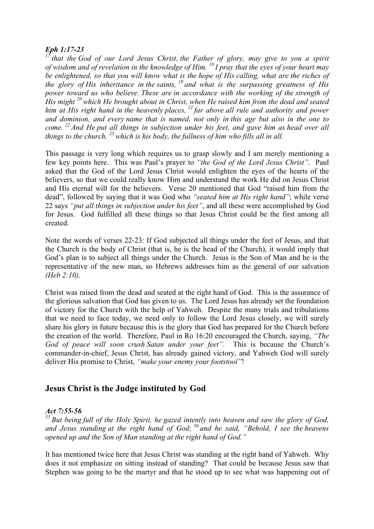## *Eph 1:17-23*

*<sup>17</sup> that the God of our Lord Jesus Christ, the Father of glory, may give to you a spirit of wisdom and of revelation in the knowledge of Him. <sup>18</sup> I pray that the eyes of your heart may be enlightened, so that you will know what is the hope of His calling, what are the riches of the glory of His inheritance in the saints, <sup>19</sup> and what is the surpassing greatness of His power toward us who believe. These are in accordance with the working of the strength of His might <sup>20</sup> which He brought about in Christ, when He raised him from the dead and seated him at His right hand in the heavenly places, <sup>21</sup> far above all rule and authority and power and dominion, and every name that is named, not only in this age but also in the one to come. <sup>22</sup> And He put all things in subjection under his feet, and gave him as head over all things to the church, <sup>23</sup> which is his body, the fullness of him who fills all in all.*

This passage is very long which requires us to grasp slowly and I am merely mentioning a few key points here. This was Paul's prayer to *"the God of the Lord Jesus Christ"*. Paul asked that the God of the Lord Jesus Christ would enlighten the eyes of the hearts of the believers, so that we could really know Him and understand the work He did on Jesus Christ and His eternal will for the believers. Verse 20 mentioned that God "raised him from the dead", followed by saying that it was God who *"seated him at His right hand"*; while verse 22 says *"put all things in subjection under his feet"*, and all these were accomplished by God for Jesus. God fulfilled all these things so that Jesus Christ could be the first among all created.

Note the words of verses 22-23: If God subjected all things under the feet of Jesus, and that the Church is the body of Christ (that is, he is the head of the Church), it would imply that God's plan is to subject all things under the Church. Jesus is the Son of Man and he is the representative of the new man, so Hebrews addresses him as the general of our salvation *(Heb 2:10)*.

Christ was raised from the dead and seated at the right hand of God. This is the assurance of the glorious salvation that God has given to us. The Lord Jesus has already set the foundation of victory for the Church with the help of Yahweh. Despite the many trials and tribulations that we need to face today, we need only to follow the Lord Jesus closely, we will surely share his glory in future because this is the glory that God has prepared for the Church before the creation of the world. Therefore, Paul in Ro 16:20 encouraged the Church, saying, *"The God of peace will soon crush Satan under your feet"*. This is because the Church's commander-in-chief, Jesus Christ, has already gained victory, and Yahweh God will surely deliver His promise to Christ, *"make your enemy your footstool"*!

# **Jesus Christ is the Judge instituted by God**

# *Act 7:55-56*

*<sup>55</sup> But being full of the Holy Spirit, he gazed intently into heaven and saw the glory of God, and Jesus standing at the right hand of God; <sup>56</sup> and he said, "Behold, I see the heavens opened up and the Son of Man standing at the right hand of God."*

It has mentioned twice here that Jesus Christ was standing at the right hand of Yahweh. Why does it not emphasize on sitting instead of standing? That could be because Jesus saw that Stephen was going to be the martyr and that he stood up to see what was happening out of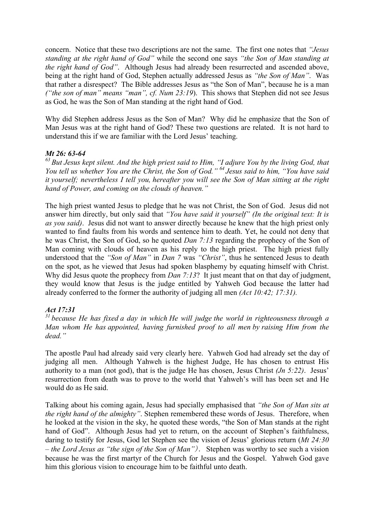concern. Notice that these two descriptions are not the same. The first one notes that *"Jesus standing at the right hand of God"* while the second one says *"the Son of Man standing at the right hand of God"*. Although Jesus had already been resurrected and ascended above, being at the right hand of God, Stephen actually addressed Jesus as *"the Son of Man"*. Was that rather a disrespect? The Bible addresses Jesus as "the Son of Man", because he is a man *("the son of man" means "man", cf. Num 23:19*). This shows that Stephen did not see Jesus as God, he was the Son of Man standing at the right hand of God.

Why did Stephen address Jesus as the Son of Man? Why did he emphasize that the Son of Man Jesus was at the right hand of God? These two questions are related. It is not hard to understand this if we are familiar with the Lord Jesus' teaching.

#### *Mt 26: 63-64*

*<sup>63</sup> But Jesus kept silent. And the high priest said to Him, "I adjure You by the living God, that You tell us whether You are the Christ, the Son of God." <sup>64</sup> Jesus said to him, "You have said it yourself; nevertheless I tell you, hereafter you will see the Son of Man sitting at the right hand of Power, and coming on the clouds of heaven."*

The high priest wanted Jesus to pledge that he was not Christ, the Son of God. Jesus did not answer him directly, but only said that *"You have said it yourself" (In the original text: It is as you said)*. Jesus did not want to answer directly because he knew that the high priest only wanted to find faults from his words and sentence him to death. Yet, he could not deny that he was Christ, the Son of God, so he quoted *Dan 7:13* regarding the prophecy of the Son of Man coming with clouds of heaven as his reply to the high priest. The high priest fully understood that the *"Son of Man"* in *Dan 7* was *"Christ"*, thus he sentenced Jesus to death on the spot, as he viewed that Jesus had spoken blasphemy by equating himself with Christ. Why did Jesus quote the prophecy from *Dan 7:13*? It just meant that on that day of judgment, they would know that Jesus is the judge entitled by Yahweh God because the latter had already conferred to the former the authority of judging all men *(Act 10:42; 17:31).*

#### *Act 17:31*

*<sup>31</sup> because He has fixed a day in which He will judge the world in righteousness through a Man whom He has appointed, having furnished proof to all men by raising Him from the dead."*

The apostle Paul had already said very clearly here. Yahweh God had already set the day of judging all men. Although Yahweh is the highest Judge, He has chosen to entrust His authority to a man (not god), that is the judge He has chosen, Jesus Christ *(Jn 5:22)*. Jesus' resurrection from death was to prove to the world that Yahweh's will has been set and He would do as He said.

Talking about his coming again, Jesus had specially emphasised that *"the Son of Man sits at the right hand of the almighty"*. Stephen remembered these words of Jesus. Therefore, when he looked at the vision in the sky, he quoted these words, "the Son of Man stands at the right hand of God". Although Jesus had yet to return, on the account of Stephen's faithfulness, daring to testify for Jesus, God let Stephen see the vision of Jesus' glorious return (*Mt 24:30 – the Lord Jesus as "the sign of the Son of Man"*). Stephen was worthy to see such a vision because he was the first martyr of the Church for Jesus and the Gospel. Yahweh God gave him this glorious vision to encourage him to be faithful unto death.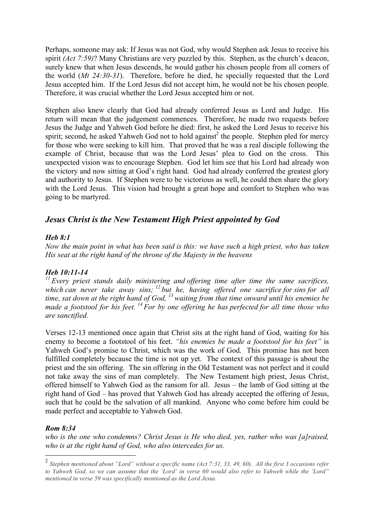Perhaps, someone may ask: If Jesus was not God, why would Stephen ask Jesus to receive his spirit *(Act 7:59)*? Many Christians are very puzzled by this. Stephen, as the church's deacon, surely knew that when Jesus descends, he would gather his chosen people from all corners of the world (*Mt 24:30-31*). Therefore, before he died, he specially requested that the Lord Jesus accepted him. If the Lord Jesus did not accept him, he would not be his chosen people. Therefore, it was crucial whether the Lord Jesus accepted him or not.

Stephen also knew clearly that God had already conferred Jesus as Lord and Judge. His return will mean that the judgement commences. Therefore, he made two requests before Jesus the Judge and Yahweh God before he died: first, he asked the Lord Jesus to receive his spirit; second, he asked Yahweh God not to hold against<sup>2</sup> the people. Stephen pled for mercy for those who were seeking to kill him. That proved that he was a real disciple following the example of Christ, because that was the Lord Jesus' plea to God on the cross. This unexpected vision was to encourage Stephen. God let him see that his Lord had already won the victory and now sitting at God's right hand. God had already conferred the greatest glory and authority to Jesus. If Stephen were to be victorious as well, he could then share the glory with the Lord Jesus. This vision had brought a great hope and comfort to Stephen who was going to be martyred.

# *Jesus Christ is the New Testament High Priest appointed by God*

## *Heb 8:1*

*Now the main point in what has been said is this: we have such a high priest, who has taken His seat at the right hand of the throne of the Majesty in the heavens*

#### *Heb 10:11-14*

*<sup>11</sup> Every priest stands daily ministering and offering time after time the same sacrifices, which can never take away sins; <sup>12</sup> but he, having offered one sacrifice for sins for all time, sat down at the right hand of God, <sup>13</sup> waiting from that time onward until his enemies be made a footstool for his feet. <sup>14</sup> For by one offering he has perfected for all time those who are sanctified.*

Verses 12-13 mentioned once again that Christ sits at the right hand of God, waiting for his enemy to become a footstool of his feet. *"his enemies be made a footstool for his feet"* is Yahweh God's promise to Christ, which was the work of God. This promise has not been fulfilled completely because the time is not up yet. The context of this passage is about the priest and the sin offering. The sin offering in the Old Testament was not perfect and it could not take away the sins of man completely. The New Testament high priest, Jesus Christ, offered himself to Yahweh God as the ransom for all. Jesus – the lamb of God sitting at the right hand of God – has proved that Yahweh God has already accepted the offering of Jesus, such that he could be the salvation of all mankind. Anyone who come before him could be made perfect and acceptable to Yahweh God.

#### *Rom 8:34*

*who is the one who condemns? Christ Jesus is He who died, yes, rather who was [a]raised, who is at the right hand of God, who also intercedes for us.*

 <sup>2</sup> *Stephen mentioned about "Lord" without a specific name (Act 7:31, 33, 49, 60). All the first 3 occasions refer to Yahweh God, so we can assume that the 'Lord' in verse 60 would also refer to Yahweh while the 'Lord" mentioned in verse 59 was specifically mentioned as the Lord Jesus.*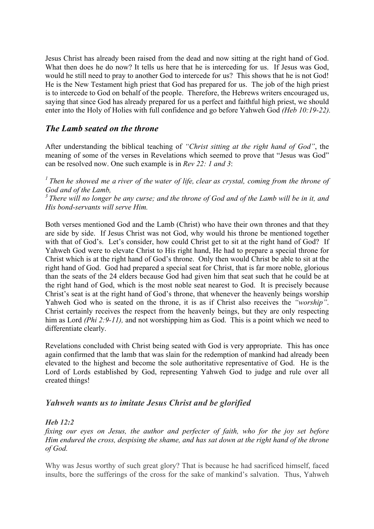Jesus Christ has already been raised from the dead and now sitting at the right hand of God. What then does he do now? It tells us here that he is interceding for us. If Jesus was God, would he still need to pray to another God to intercede for us? This shows that he is not God! He is the New Testament high priest that God has prepared for us. The job of the high priest is to intercede to God on behalf of the people. Therefore, the Hebrews writers encouraged us, saying that since God has already prepared for us a perfect and faithful high priest, we should enter into the Holy of Holies with full confidence and go before Yahweh God *(Heb 10:19-22).*

# *The Lamb seated on the throne*

After understanding the biblical teaching of *"Christ sitting at the right hand of God"*, the meaning of some of the verses in Revelations which seemed to prove that "Jesus was God" can be resolved now. One such example is in *Rev 22: 1 and 3*:

*<sup>1</sup> Then he showed me a river of the water of life, clear as crystal, coming from the throne of God and of the Lamb,*

*<sup>3</sup> There will no longer be any curse; and the throne of God and of the Lamb will be in it, and His bond-servants will serve Him.*

Both verses mentioned God and the Lamb (Christ) who have their own thrones and that they are side by side. If Jesus Christ was not God, why would his throne be mentioned together with that of God's. Let's consider, how could Christ get to sit at the right hand of God? If Yahweh God were to elevate Christ to His right hand, He had to prepare a special throne for Christ which is at the right hand of God's throne. Only then would Christ be able to sit at the right hand of God. God had prepared a special seat for Christ, that is far more noble, glorious than the seats of the 24 elders because God had given him that seat such that he could be at the right hand of God, which is the most noble seat nearest to God. It is precisely because Christ's seat is at the right hand of God's throne, that whenever the heavenly beings worship Yahweh God who is seated on the throne, it is as if Christ also receives the *"worship"*. Christ certainly receives the respect from the heavenly beings, but they are only respecting him as Lord *(Phi 2:9-11)*, and not worshipping him as God. This is a point which we need to differentiate clearly.

Revelations concluded with Christ being seated with God is very appropriate. This has once again confirmed that the lamb that was slain for the redemption of mankind had already been elevated to the highest and become the sole authoritative representative of God. He is the Lord of Lords established by God, representing Yahweh God to judge and rule over all created things!

# *Yahweh wants us to imitate Jesus Christ and be glorified*

#### *Heb 12:2*

*fixing our eyes on Jesus, the author and perfecter of faith, who for the joy set before Him endured the cross, despising the shame, and has sat down at the right hand of the throne of God.*

Why was Jesus worthy of such great glory? That is because he had sacrificed himself, faced insults, bore the sufferings of the cross for the sake of mankind's salvation. Thus, Yahweh